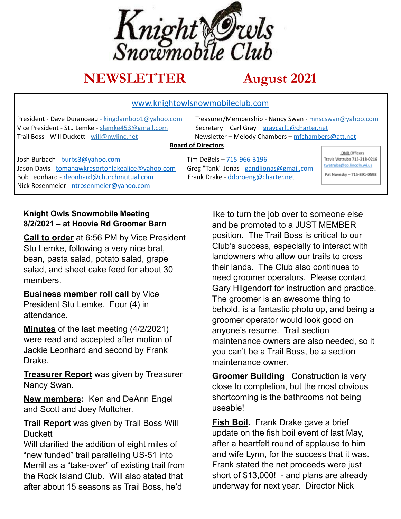

# **NEWSLETTER August 2021**

#### www.knightowlsnowmobileclub.com

Vice President - Stu Lemke - slemke453@gmail.com Secretary – Carl Gray – gravcarl1@charter.net Trail Boss - Will Duckett - will@nwlinc.net Newsletter – Melody Chambers – mfchambers@att.net

President - Dave Duranceau - kingdambob1@yahoo.com Treasurer/Membership - Nancy Swan - mnscswan@yahoo.com

#### **Board of Directors**

Josh Burbach - burbs3@yahoo.com Tim DeBels – 715-966-3196 Jason Davis - tomahawkresortonlakealice@yahoo.com Greg "Tank" Jonas - gandljonas@gmail.com Bob Leonhard - rleonhard@churchmutual.com Frank Drake - ddproeng@charter.net Nick Rosenmeier - ntrosenmeier@yahoo.com

DNR Officers Travis Watruba 715-218-0216 twatruba@co.lincoln.wi.us Pat Novesky - 715-891-0598

#### **Knight Owls Snowmobile Meeting 8/2/2021 – at Hoovie Rd Groomer Barn**

**Call to order** at 6:56 PM by Vice President Stu Lemke, following a very nice brat, bean, pasta salad, potato salad, grape salad, and sheet cake feed for about 30 members.

**Business member roll call** by Vice President Stu Lemke. Four (4) in attendance.

**Minutes** of the last meeting (4/2/2021) were read and accepted after motion of Jackie Leonhard and second by Frank Drake.

**Treasurer Report** was given by Treasurer Nancy Swan.

**New members:** Ken and DeAnn Engel and Scott and Joey Multcher.

**Trail Report** was given by Trail Boss Will **Duckett** 

Will clarified the addition of eight miles of "new funded" trail paralleling US-51 into Merrill as a "take-over" of existing trail from the Rock Island Club. Will also stated that after about 15 seasons as Trail Boss, he'd

like to turn the job over to someone else and be promoted to a JUST MEMBER position. The Trail Boss is critical to our Club's success, especially to interact with landowners who allow our trails to cross their lands. The Club also continues to need groomer operators. Please contact Gary Hilgendorf for instruction and practice. The groomer is an awesome thing to behold, is a fantastic photo op, and being a groomer operator would look good on anyone's resume. Trail section maintenance owners are also needed, so it you can't be a Trail Boss, be a section maintenance owner.

**Groomer Building** Construction is very close to completion, but the most obvious shortcoming is the bathrooms not being useable!

**Fish Boil.** Frank Drake gave a brief update on the fish boil event of last May, after a heartfelt round of applause to him and wife Lynn, for the success that it was. Frank stated the net proceeds were just short of \$13,000! - and plans are already underway for next year. Director Nick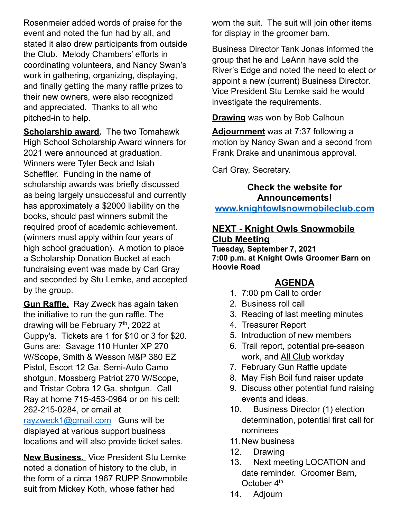Rosenmeier added words of praise for the event and noted the fun had by all, and stated it also drew participants from outside the Club. Melody Chambers' efforts in coordinating volunteers, and Nancy Swan's work in gathering, organizing, displaying, and finally getting the many raffle prizes to their new owners, were also recognized and appreciated. Thanks to all who pitched-in to help.

**Scholarship award.** The two Tomahawk High School Scholarship Award winners for 2021 were announced at graduation. Winners were Tyler Beck and Isiah Scheffler. Funding in the name of scholarship awards was briefly discussed as being largely unsuccessful and currently has approximately a \$2000 liability on the books, should past winners submit the required proof of academic achievement. (winners must apply within four years of high school graduation). A motion to place a Scholarship Donation Bucket at each fundraising event was made by Carl Gray and seconded by Stu Lemke, and accepted by the group.

**Gun Raffle.** Ray Zweck has again taken the initiative to run the gun raffle. The drawing will be February 7<sup>th</sup>, 2022 at Guppy's. Tickets are 1 for \$10 or 3 for \$20. Guns are: Savage 110 Hunter XP 270 W/Scope, Smith & Wesson M&P 380 EZ Pistol, Escort 12 Ga. Semi-Auto Camo shotgun, Mossberg Patriot 270 W/Scope, and Tristar Cobra 12 Ga. shotgun. Call Ray at home 715-453-0964 or on his cell: 262-215-0284, or email at [rayzweck1@gmail.com](mailto:rayzweck1@gmail.com) Guns will be displayed at various support business locations and will also provide ticket sales.

**New Business.** Vice President Stu Lemke noted a donation of history to the club, in the form of a circa 1967 RUPP Snowmobile suit from Mickey Koth, whose father had

worn the suit. The suit will join other items for display in the groomer barn.

Business Director Tank Jonas informed the group that he and LeAnn have sold the River's Edge and noted the need to elect or appoint a new (current) Business Director. Vice President Stu Lemke said he would investigate the requirements.

**Drawing** was won by Bob Calhoun

**Adjournment** was at 7:37 following a motion by Nancy Swan and a second from Frank Drake and unanimous approval.

Carl Gray, Secretary.

**Check the website for Announcements! www.knightowlsnowmobileclub.com**

### **NEXT - Knight Owls Snowmobile Club Meeting**

**Tuesday, September 7, 2021 7:00 p.m. at Knight Owls Groomer Barn on Hoovie Road**

# **AGENDA**

- 1. 7:00 pm Call to order
- 2. Business roll call
- 3. Reading of last meeting minutes
- 4. Treasurer Report
- 5. Introduction of new members
- 6. Trail report, potential pre-season work, and All Club workday
- 7. February Gun Raffle update
- 8. May Fish Boil fund raiser update
- 9. Discuss other potential fund raising events and ideas.
- 10. Business Director (1) election determination, potential first call for nominees
- 11.New business
- 12. Drawing
- 13. Next meeting LOCATION and date reminder. Groomer Barn, October 4<sup>th</sup>
- 14. Adjourn